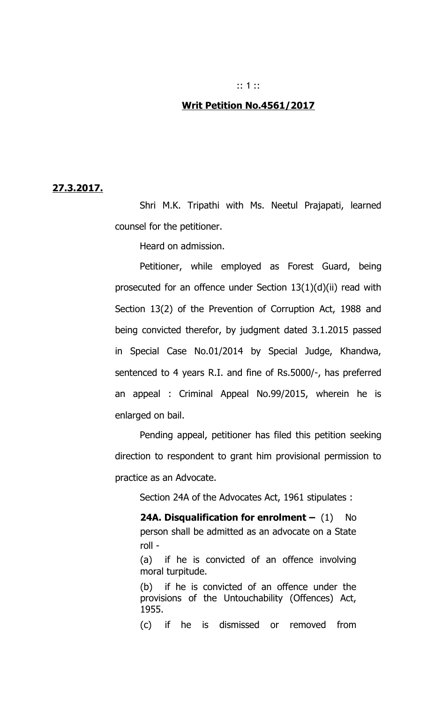# :: 1 ::

### **Writ Petition No.4561/2017**

#### **27.3.2017.**

Shri M.K. Tripathi with Ms. Neetul Prajapati, learned counsel for the petitioner.

Heard on admission.

Petitioner, while employed as Forest Guard, being prosecuted for an offence under Section 13(1)(d)(ii) read with Section 13(2) of the Prevention of Corruption Act, 1988 and being convicted therefor, by judgment dated 3.1.2015 passed in Special Case No.01/2014 by Special Judge, Khandwa, sentenced to 4 years R.I. and fine of Rs.5000/-, has preferred an appeal : Criminal Appeal No.99/2015, wherein he is enlarged on bail.

Pending appeal, petitioner has filed this petition seeking direction to respondent to grant him provisional permission to practice as an Advocate.

Section 24A of the Advocates Act, 1961 stipulates :

**24A. Disqualification for enrolment – (1) No** person shall be admitted as an advocate on a State roll -

(a) if he is convicted of an offence involving moral turpitude.

(b) if he is convicted of an offence under the provisions of the Untouchability (Offences) Act, 1955.

(c) if he is dismissed or removed from